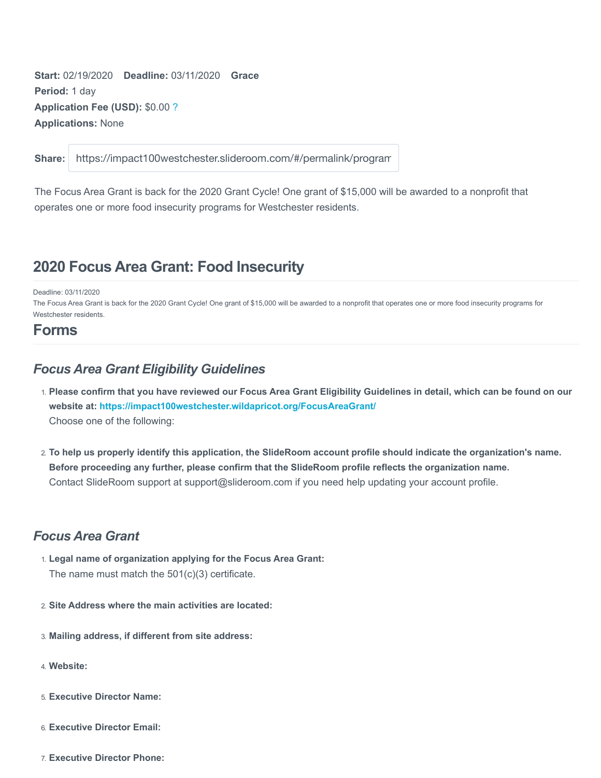**Start:** 02/19/2020 **Deadline:** 03/11/2020 **Grace Period:** 1 day **Application Fee (USD):** \$0.00 ? **Applications:** None

**Share:**

https://impact100westchester.slideroom.com/#/permalink/program

The Focus Area Grant is back for the 2020 Grant Cycle! One grant of \$15,000 will be awarded to a nonprofit that operates one or more food insecurity programs for Westchester residents.

# **2020 Focus Area Grant: Food Insecurity**

Deadline: 03/11/2020

The Focus Area Grant is back for the 2020 Grant Cycle! One grant of \$15,000 will be awarded to a nonprofit that operates one or more food insecurity programs for Westchester residents.

## **Forms**

### *Focus Area Grant Eligibility Guidelines*

- 1. **Please confirm that you have reviewed our Focus Area Grant Eligibility Guidelines in detail, which can be found on our website at:<https://impact100westchester.wildapricot.org/FocusAreaGrant/>** Choose one of the following:
- 2. **To help us properly identify this application, the SlideRoom account profile should indicate the organization's name. Before proceeding any further, please confirm that the SlideRoom profile reflects the organization name.** Contact SlideRoom support at support@slideroom.com if you need help updating your account profile.

## *Focus Area Grant*

- 1. **Legal name of organization applying for the Focus Area Grant:** The name must match the 501(c)(3) certificate.
- 2. **Site Address where the main activities are located:**
- 3. **Mailing address, if different from site address:**
- 4. **Website:**
- 5. **Executive Director Name:**
- 6. **Executive Director Email:**
- 7. **Executive Director Phone:**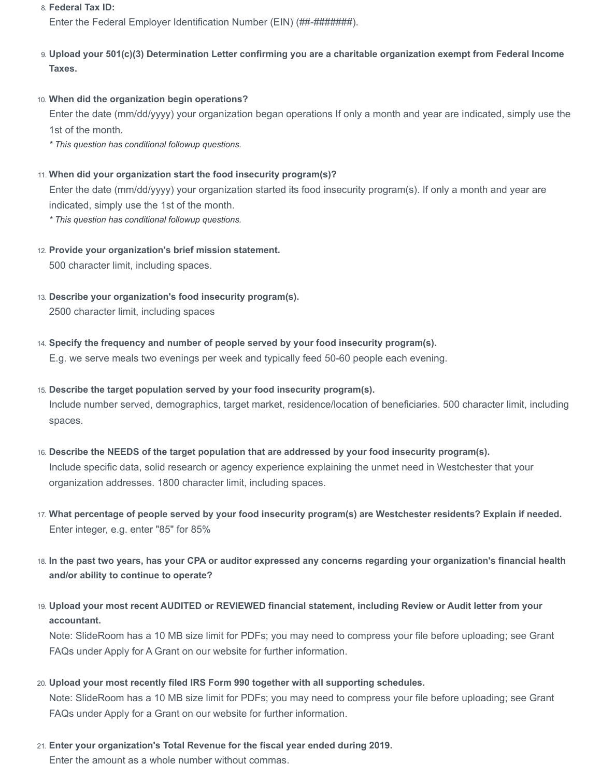#### 8. **Federal Tax ID:**

Enter the Federal Employer Identification Number (EIN) (##-########).

- 9. **Upload your 501(c)(3) Determination Letter confirming you are a charitable organization exempt from Federal Income Taxes.**
- 10. **When did the organization begin operations?**

Enter the date (mm/dd/yyyy) your organization began operations If only a month and year are indicated, simply use the 1st of the month.

*\* This question has conditional followup questions.*

11. **When did your organization start the food insecurity program(s)?**

Enter the date (mm/dd/yyyy) your organization started its food insecurity program(s). If only a month and year are indicated, simply use the 1st of the month.

*\* This question has conditional followup questions.*

- 12. **Provide your organization's brief mission statement.** 500 character limit, including spaces.
- 13. **Describe your organization's food insecurity program(s).** 2500 character limit, including spaces
- 14. **Specify the frequency and number of people served by your food insecurity program(s).**

E.g. we serve meals two evenings per week and typically feed 50-60 people each evening.

- 15. **Describe the target population served by your food insecurity program(s).** Include number served, demographics, target market, residence/location of beneficiaries. 500 character limit, including spaces.
- 16. **Describe the NEEDS of the target population that are addressed by your food insecurity program(s).** Include specific data, solid research or agency experience explaining the unmet need in Westchester that your organization addresses. 1800 character limit, including spaces.
- 17. **What percentage of people served by your food insecurity program(s) are Westchester residents? Explain if needed.** Enter integer, e.g. enter "85" for 85%
- 18. **In the past two years, has your CPA or auditor expressed any concerns regarding your organization's financial health and/or ability to continue to operate?**
- 19. **Upload your most recent AUDITED or REVIEWED financial statement, including Review or Audit letter from your accountant.**

Note: SlideRoom has a 10 MB size limit for PDFs; you may need to compress your file before uploading; see Grant FAQs under Apply for A Grant on our website for further information.

- 20. **Upload your most recently filed IRS Form 990 together with all supporting schedules.** Note: SlideRoom has a 10 MB size limit for PDFs; you may need to compress your file before uploading; see Grant FAQs under Apply for a Grant on our website for further information.
- 21. **Enter your organization's Total Revenue for the fiscal year ended during 2019.** Enter the amount as a whole number without commas.